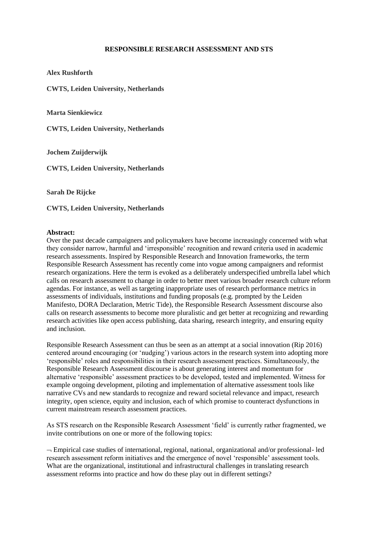## **RESPONSIBLE RESEARCH ASSESSMENT AND STS**

**Alex Rushforth**

**CWTS, Leiden University, Netherlands**

**Marta Sienkiewicz**

**CWTS, Leiden University, Netherlands**

**Jochem Zuijderwijk** 

**CWTS, Leiden University, Netherlands**

**Sarah De Rijcke**

**CWTS, Leiden University, Netherlands**

## **Abstract:**

Over the past decade campaigners and policymakers have become increasingly concerned with what they consider narrow, harmful and 'irresponsible' recognition and reward criteria used in academic research assessments. Inspired by Responsible Research and Innovation frameworks, the term Responsible Research Assessment has recently come into vogue among campaigners and reformist research organizations. Here the term is evoked as a deliberately underspecified umbrella label which calls on research assessment to change in order to better meet various broader research culture reform agendas. For instance, as well as targeting inappropriate uses of research performance metrics in assessments of individuals, institutions and funding proposals (e.g. prompted by the Leiden Manifesto, DORA Declaration, Metric Tide), the Responsible Research Assessment discourse also calls on research assessments to become more pluralistic and get better at recognizing and rewarding research activities like open access publishing, data sharing, research integrity, and ensuring equity and inclusion.

Responsible Research Assessment can thus be seen as an attempt at a social innovation (Rip 2016) centered around encouraging (or 'nudging') various actors in the research system into adopting more 'responsible' roles and responsibilities in their research assessment practices. Simultaneously, the Responsible Research Assessment discourse is about generating interest and momentum for alternative 'responsible' assessment practices to be developed, tested and implemented. Witness for example ongoing development, piloting and implementation of alternative assessment tools like narrative CVs and new standards to recognize and reward societal relevance and impact, research integrity, open science, equity and inclusion, each of which promise to counteract dysfunctions in current mainstream research assessment practices.

As STS research on the Responsible Research Assessment 'field' is currently rather fragmented, we invite contributions on one or more of the following topics:

 Empirical case studies of international, regional, national, organizational and/or professional- led research assessment reform initiatives and the emergence of novel 'responsible' assessment tools. What are the organizational, institutional and infrastructural challenges in translating research assessment reforms into practice and how do these play out in different settings?